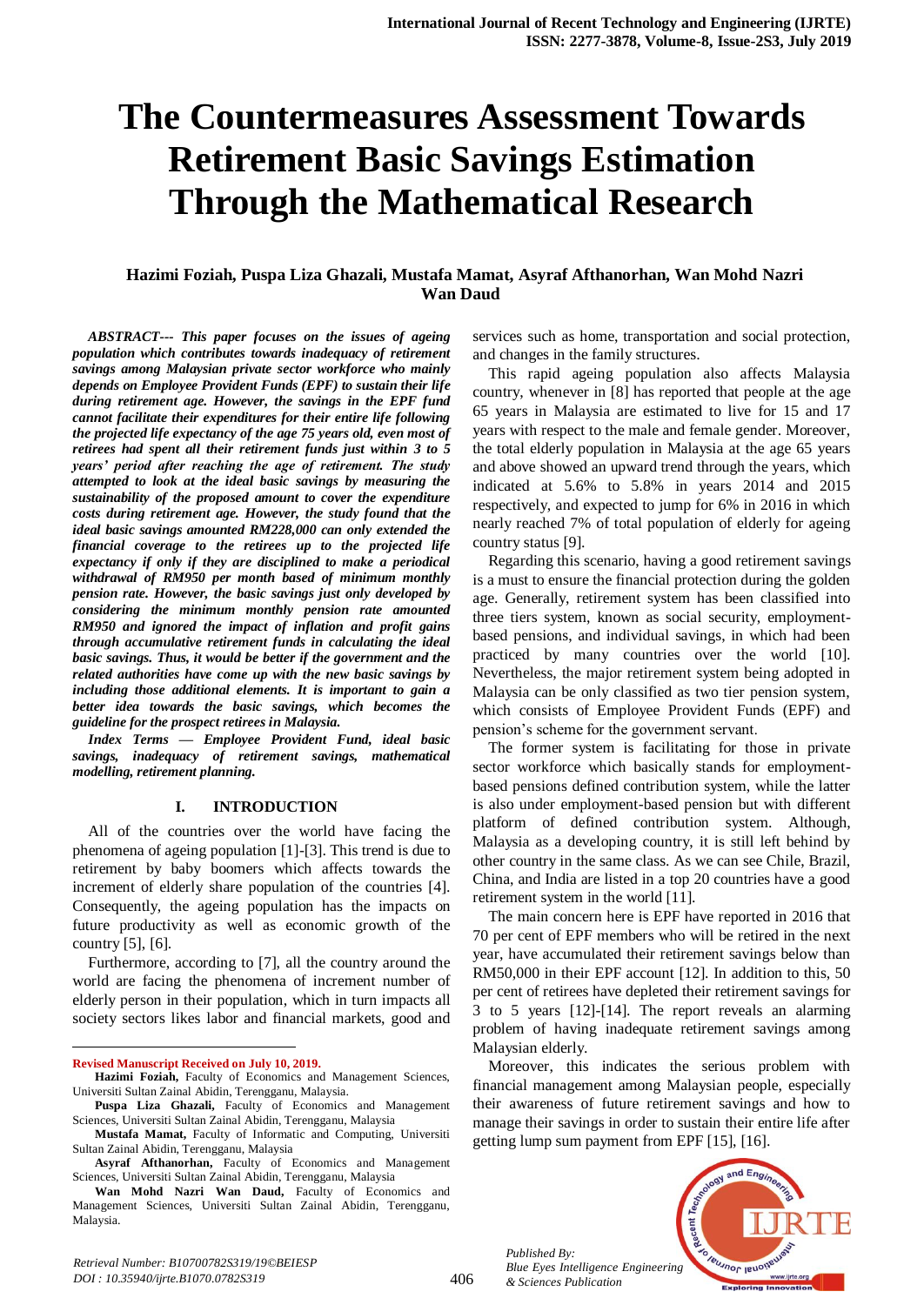# **The Countermeasures Assessment Towards Retirement Basic Savings Estimation Through the Mathematical Research**

## **Hazimi Foziah, Puspa Liza Ghazali, Mustafa Mamat, Asyraf Afthanorhan, Wan Mohd Nazri Wan Daud**

*ABSTRACT--- This paper focuses on the issues of ageing population which contributes towards inadequacy of retirement savings among Malaysian private sector workforce who mainly depends on Employee Provident Funds (EPF) to sustain their life during retirement age. However, the savings in the EPF fund cannot facilitate their expenditures for their entire life following the projected life expectancy of the age 75 years old, even most of retirees had spent all their retirement funds just within 3 to 5 years' period after reaching the age of retirement. The study attempted to look at the ideal basic savings by measuring the sustainability of the proposed amount to cover the expenditure costs during retirement age. However, the study found that the ideal basic savings amounted RM228,000 can only extended the financial coverage to the retirees up to the projected life expectancy if only if they are disciplined to make a periodical withdrawal of RM950 per month based of minimum monthly pension rate. However, the basic savings just only developed by considering the minimum monthly pension rate amounted RM950 and ignored the impact of inflation and profit gains through accumulative retirement funds in calculating the ideal basic savings. Thus, it would be better if the government and the related authorities have come up with the new basic savings by including those additional elements. It is important to gain a better idea towards the basic savings, which becomes the guideline for the prospect retirees in Malaysia.*

*Index Terms — Employee Provident Fund, ideal basic savings, inadequacy of retirement savings, mathematical modelling, retirement planning.*

#### **I. INTRODUCTION**

All of the countries over the world have facing the phenomena of ageing population [1]-[3]. This trend is due to retirement by baby boomers which affects towards the increment of elderly share population of the countries [4]. Consequently, the ageing population has the impacts on future productivity as well as economic growth of the country [5], [6].

Furthermore, according to [7], all the country around the world are facing the phenomena of increment number of elderly person in their population, which in turn impacts all society sectors likes labor and financial markets, good and

**Revised Manuscript Received on July 10, 2019.**

 $\overline{a}$ 

*Retrieval Number: B10700782S319/19©BEIESP* 

*DOI : 10.35940/ijrte.B1070.0782S319*

services such as home, transportation and social protection, and changes in the family structures.

This rapid ageing population also affects Malaysia country, whenever in [8] has reported that people at the age 65 years in Malaysia are estimated to live for 15 and 17 years with respect to the male and female gender. Moreover, the total elderly population in Malaysia at the age 65 years and above showed an upward trend through the years, which indicated at 5.6% to 5.8% in years 2014 and 2015 respectively, and expected to jump for 6% in 2016 in which nearly reached 7% of total population of elderly for ageing country status [9].

Regarding this scenario, having a good retirement savings is a must to ensure the financial protection during the golden age. Generally, retirement system has been classified into three tiers system, known as social security, employmentbased pensions, and individual savings, in which had been practiced by many countries over the world [10]. Nevertheless, the major retirement system being adopted in Malaysia can be only classified as two tier pension system, which consists of Employee Provident Funds (EPF) and pension's scheme for the government servant.

The former system is facilitating for those in private sector workforce which basically stands for employmentbased pensions defined contribution system, while the latter is also under employment-based pension but with different platform of defined contribution system. Although, Malaysia as a developing country, it is still left behind by other country in the same class. As we can see Chile, Brazil, China, and India are listed in a top 20 countries have a good retirement system in the world [11].

The main concern here is EPF have reported in 2016 that 70 per cent of EPF members who will be retired in the next year, have accumulated their retirement savings below than RM50,000 in their EPF account [12]. In addition to this, 50 per cent of retirees have depleted their retirement savings for 3 to 5 years [12]-[14]. The report reveals an alarming problem of having inadequate retirement savings among Malaysian elderly.

Moreover, this indicates the serious problem with financial management among Malaysian people, especially their awareness of future retirement savings and how to manage their savings in order to sustain their entire life after getting lump sum payment from EPF [15], [16].

*Published By: Blue Eyes Intelligence Engineering & Sciences Publication* 



**Hazimi Foziah,** Faculty of Economics and Management Sciences, Universiti Sultan Zainal Abidin, Terengganu, Malaysia.

**Puspa Liza Ghazali,** Faculty of Economics and Management Sciences, Universiti Sultan Zainal Abidin, Terengganu, Malaysia

**Mustafa Mamat,** Faculty of Informatic and Computing, Universiti Sultan Zainal Abidin, Terengganu, Malaysia

**Asyraf Afthanorhan,** Faculty of Economics and Management Sciences, Universiti Sultan Zainal Abidin, Terengganu, Malaysia

**Wan Mohd Nazri Wan Daud,** Faculty of Economics and Management Sciences, Universiti Sultan Zainal Abidin, Terengganu, Malaysia.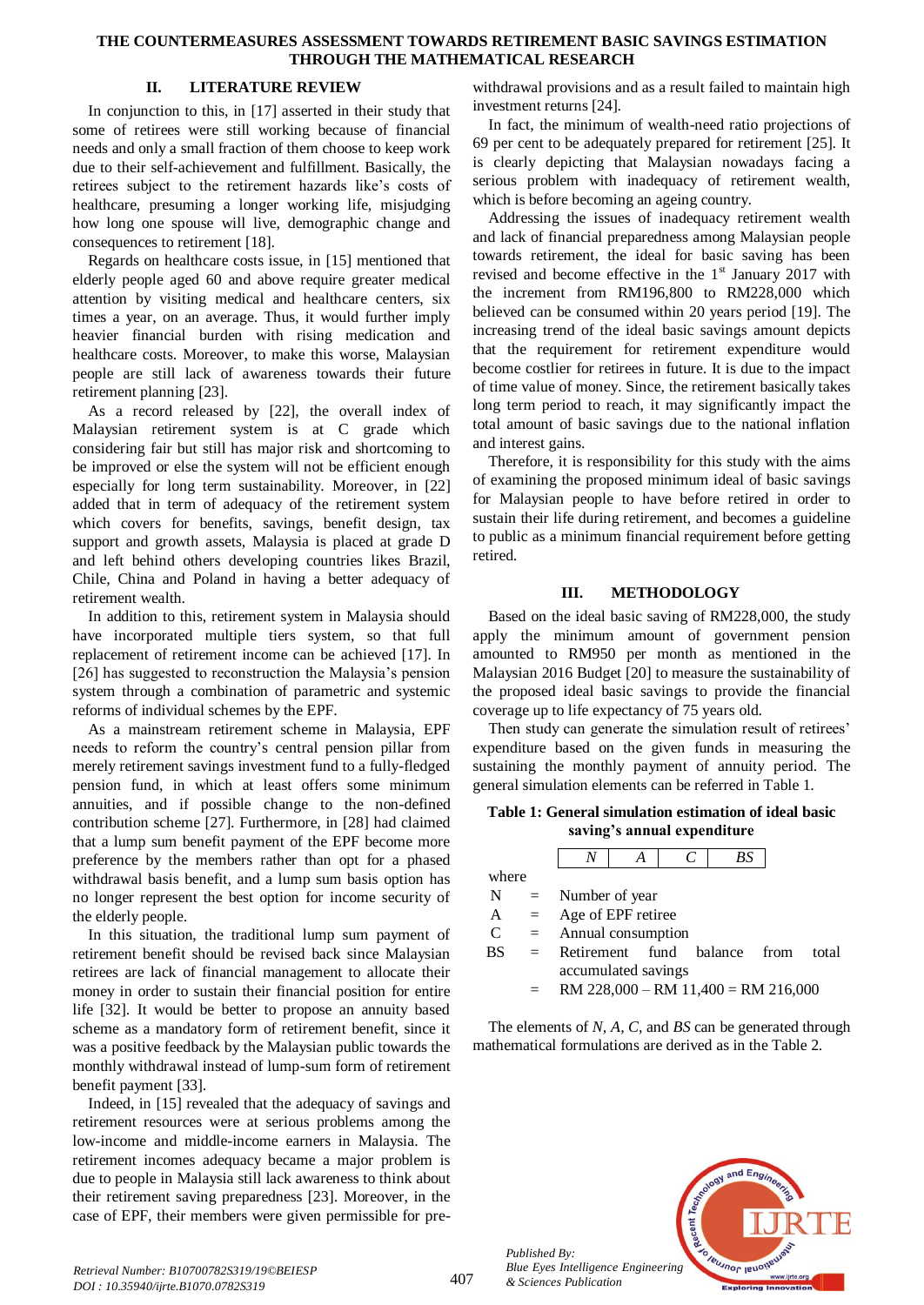#### **THE COUNTERMEASURES ASSESSMENT TOWARDS RETIREMENT BASIC SAVINGS ESTIMATION THROUGH THE MATHEMATICAL RESEARCH**

## **II. LITERATURE REVIEW**

In conjunction to this, in [17] asserted in their study that some of retirees were still working because of financial needs and only a small fraction of them choose to keep work due to their self-achievement and fulfillment. Basically, the retirees subject to the retirement hazards like's costs of healthcare, presuming a longer working life, misjudging how long one spouse will live, demographic change and consequences to retirement [18].

Regards on healthcare costs issue, in [15] mentioned that elderly people aged 60 and above require greater medical attention by visiting medical and healthcare centers, six times a year, on an average. Thus, it would further imply heavier financial burden with rising medication and healthcare costs. Moreover, to make this worse, Malaysian people are still lack of awareness towards their future retirement planning [23].

As a record released by [22], the overall index of Malaysian retirement system is at C grade which considering fair but still has major risk and shortcoming to be improved or else the system will not be efficient enough especially for long term sustainability. Moreover, in [22] added that in term of adequacy of the retirement system which covers for benefits, savings, benefit design, tax support and growth assets, Malaysia is placed at grade D and left behind others developing countries likes Brazil, Chile, China and Poland in having a better adequacy of retirement wealth.

In addition to this, retirement system in Malaysia should have incorporated multiple tiers system, so that full replacement of retirement income can be achieved [17]. In [26] has suggested to reconstruction the Malaysia's pension system through a combination of parametric and systemic reforms of individual schemes by the EPF.

As a mainstream retirement scheme in Malaysia, EPF needs to reform the country's central pension pillar from merely retirement savings investment fund to a fully-fledged pension fund, in which at least offers some minimum annuities, and if possible change to the non-defined contribution scheme [27]. Furthermore, in [28] had claimed that a lump sum benefit payment of the EPF become more preference by the members rather than opt for a phased withdrawal basis benefit, and a lump sum basis option has no longer represent the best option for income security of the elderly people.

In this situation, the traditional lump sum payment of retirement benefit should be revised back since Malaysian retirees are lack of financial management to allocate their money in order to sustain their financial position for entire life [32]. It would be better to propose an annuity based scheme as a mandatory form of retirement benefit, since it was a positive feedback by the Malaysian public towards the monthly withdrawal instead of lump-sum form of retirement benefit payment [33].

Indeed, in [15] revealed that the adequacy of savings and retirement resources were at serious problems among the low-income and middle-income earners in Malaysia. The retirement incomes adequacy became a major problem is due to people in Malaysia still lack awareness to think about their retirement saving preparedness [23]. Moreover, in the case of EPF, their members were given permissible for pre-

withdrawal provisions and as a result failed to maintain high investment returns [24].

In fact, the minimum of wealth-need ratio projections of 69 per cent to be adequately prepared for retirement [25]. It is clearly depicting that Malaysian nowadays facing a serious problem with inadequacy of retirement wealth, which is before becoming an ageing country.

Addressing the issues of inadequacy retirement wealth and lack of financial preparedness among Malaysian people towards retirement, the ideal for basic saving has been revised and become effective in the  $1<sup>st</sup>$  January 2017 with the increment from RM196,800 to RM228,000 which believed can be consumed within 20 years period [19]. The increasing trend of the ideal basic savings amount depicts that the requirement for retirement expenditure would become costlier for retirees in future. It is due to the impact of time value of money. Since, the retirement basically takes long term period to reach, it may significantly impact the total amount of basic savings due to the national inflation and interest gains.

Therefore, it is responsibility for this study with the aims of examining the proposed minimum ideal of basic savings for Malaysian people to have before retired in order to sustain their life during retirement, and becomes a guideline to public as a minimum financial requirement before getting retired.

## **III. METHODOLOGY**

Based on the ideal basic saving of RM228,000, the study apply the minimum amount of government pension amounted to RM950 per month as mentioned in the Malaysian 2016 Budget [20] to measure the sustainability of the proposed ideal basic savings to provide the financial coverage up to life expectancy of 75 years old.

Then study can generate the simulation result of retirees' expenditure based on the given funds in measuring the sustaining the monthly payment of annuity period. The general simulation elements can be referred in Table 1.

**Table 1: General simulation estimation of ideal basic saving's annual expenditure**

|               |     |                                       | А |  |  | BS |  |       |
|---------------|-----|---------------------------------------|---|--|--|----|--|-------|
| where         |     |                                       |   |  |  |    |  |       |
| N             | $=$ | Number of year                        |   |  |  |    |  |       |
| A             | $=$ | Age of EPF retiree                    |   |  |  |    |  |       |
| $\mathcal{C}$ | $=$ | Annual consumption                    |   |  |  |    |  |       |
| BS            | $=$ | Retirement fund balance from          |   |  |  |    |  | total |
|               |     | accumulated savings                   |   |  |  |    |  |       |
|               | $=$ | $RM$ 228,000 – RM 11,400 = RM 216,000 |   |  |  |    |  |       |
|               |     |                                       |   |  |  |    |  |       |

The elements of *N, A, C,* and *BS* can be generated through mathematical formulations are derived as in the Table 2.



*Published By:*

*& Sciences Publication*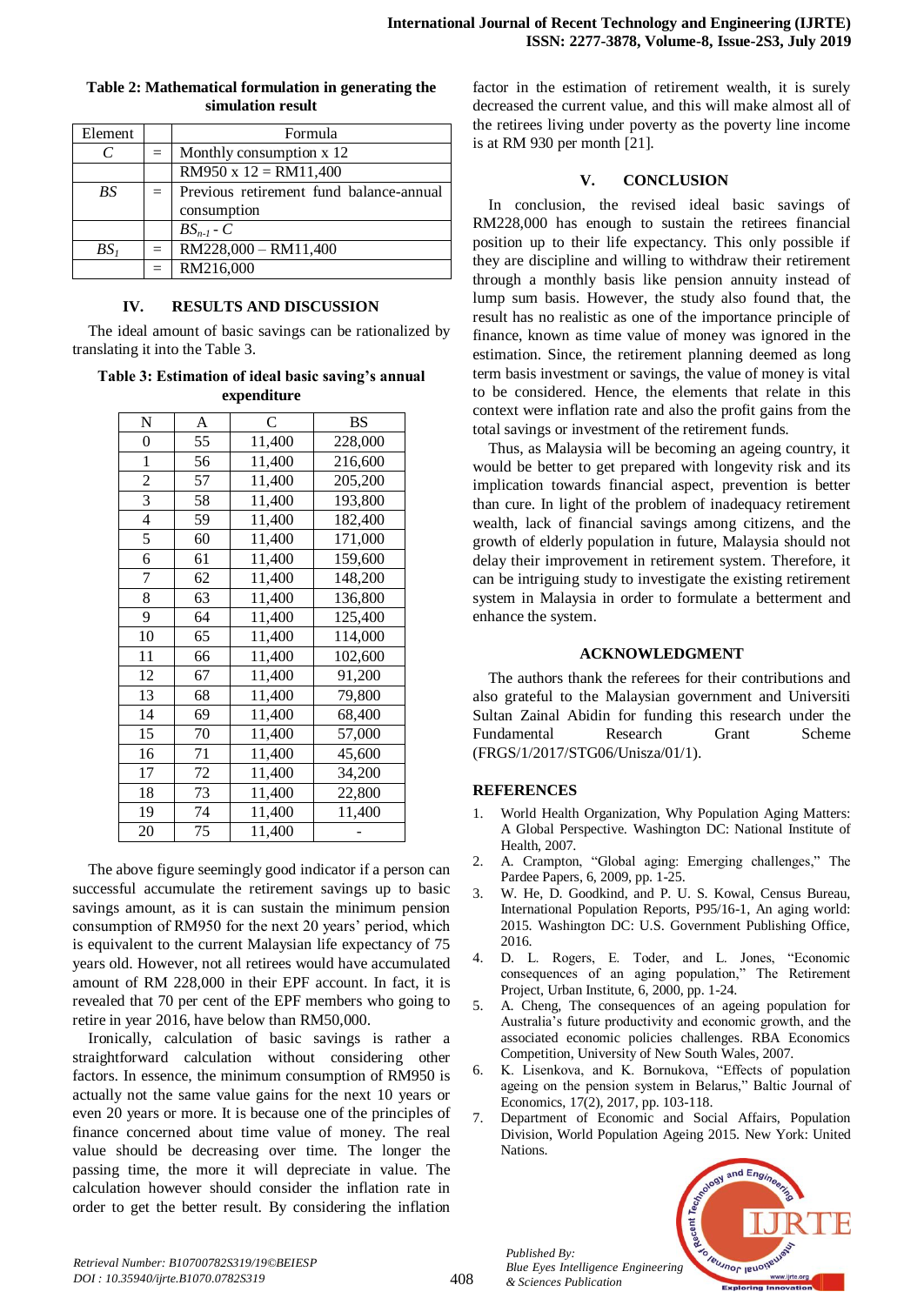| Element   |     | Formula                                 |  |  |
|-----------|-----|-----------------------------------------|--|--|
|           | $=$ | Monthly consumption x 12                |  |  |
|           |     | $RM950 \times 12 = RM11,400$            |  |  |
| <b>BS</b> | $=$ | Previous retirement fund balance-annual |  |  |
|           |     | consumption                             |  |  |
|           |     | $BS_{n-l}$ - $C$                        |  |  |
| $BS_I$    | $=$ | RM228,000 - RM11,400                    |  |  |
|           |     | RM216,000                               |  |  |

#### **Table 2: Mathematical formulation in generating the simulation result**

## **IV. RESULTS AND DISCUSSION**

The ideal amount of basic savings can be rationalized by translating it into the Table 3.

## **Table 3: Estimation of ideal basic saving's annual expenditure**

| N                | A  | C      | <b>BS</b> |
|------------------|----|--------|-----------|
| $\boldsymbol{0}$ | 55 | 11,400 | 228,000   |
| $\mathbf{1}$     | 56 | 11,400 | 216,600   |
| $\overline{2}$   | 57 | 11,400 | 205,200   |
| 3                | 58 | 11,400 | 193,800   |
| 4                | 59 | 11,400 | 182,400   |
| 5                | 60 | 11,400 | 171,000   |
| 6                | 61 | 11,400 | 159,600   |
| 7                | 62 | 11,400 | 148,200   |
| 8                | 63 | 11,400 | 136,800   |
| 9                | 64 | 11,400 | 125,400   |
| 10               | 65 | 11,400 | 114,000   |
| 11               | 66 | 11,400 | 102,600   |
| 12               | 67 | 11,400 | 91,200    |
| 13               | 68 | 11,400 | 79,800    |
| 14               | 69 | 11,400 | 68,400    |
| 15               | 70 | 11,400 | 57,000    |
| 16               | 71 | 11,400 | 45,600    |
| 17               | 72 | 11,400 | 34,200    |
| 18               | 73 | 11,400 | 22,800    |
| 19               | 74 | 11,400 | 11,400    |
| 20               | 75 | 11,400 |           |

The above figure seemingly good indicator if a person can successful accumulate the retirement savings up to basic savings amount, as it is can sustain the minimum pension consumption of RM950 for the next 20 years' period, which is equivalent to the current Malaysian life expectancy of 75 years old. However, not all retirees would have accumulated amount of RM 228,000 in their EPF account. In fact, it is revealed that 70 per cent of the EPF members who going to retire in year 2016, have below than RM50,000.

Ironically, calculation of basic savings is rather a straightforward calculation without considering other factors. In essence, the minimum consumption of RM950 is actually not the same value gains for the next 10 years or even 20 years or more. It is because one of the principles of finance concerned about time value of money. The real value should be decreasing over time. The longer the passing time, the more it will depreciate in value. The calculation however should consider the inflation rate in order to get the better result. By considering the inflation factor in the estimation of retirement wealth, it is surely decreased the current value, and this will make almost all of the retirees living under poverty as the poverty line income is at RM 930 per month [21].

## **V. CONCLUSION**

In conclusion, the revised ideal basic savings of RM228,000 has enough to sustain the retirees financial position up to their life expectancy. This only possible if they are discipline and willing to withdraw their retirement through a monthly basis like pension annuity instead of lump sum basis. However, the study also found that, the result has no realistic as one of the importance principle of finance, known as time value of money was ignored in the estimation. Since, the retirement planning deemed as long term basis investment or savings, the value of money is vital to be considered. Hence, the elements that relate in this context were inflation rate and also the profit gains from the total savings or investment of the retirement funds.

Thus, as Malaysia will be becoming an ageing country, it would be better to get prepared with longevity risk and its implication towards financial aspect, prevention is better than cure. In light of the problem of inadequacy retirement wealth, lack of financial savings among citizens, and the growth of elderly population in future, Malaysia should not delay their improvement in retirement system. Therefore, it can be intriguing study to investigate the existing retirement system in Malaysia in order to formulate a betterment and enhance the system.

# **ACKNOWLEDGMENT**

The authors thank the referees for their contributions and also grateful to the Malaysian government and Universiti Sultan Zainal Abidin for funding this research under the Fundamental Research Grant Scheme (FRGS/1/2017/STG06/Unisza/01/1).

# **REFERENCES**

- 1. World Health Organization, Why Population Aging Matters: A Global Perspective. Washington DC: National Institute of Health, 2007.
- 2. A. Crampton, "Global aging: Emerging challenges," The Pardee Papers, 6, 2009, pp. 1-25.
- 3. W. He, D. Goodkind, and P. U. S. Kowal, Census Bureau, International Population Reports, P95/16-1, An aging world: 2015. Washington DC: U.S. Government Publishing Office, 2016.
- 4. D. L. Rogers, E. Toder, and L. Jones, "Economic consequences of an aging population," The Retirement Project, Urban Institute, 6, 2000, pp. 1-24.
- 5. A. Cheng, The consequences of an ageing population for Australia's future productivity and economic growth, and the associated economic policies challenges. RBA Economics Competition, University of New South Wales, 2007.
- 6. K. Lisenkova, and K. Bornukova, "Effects of population ageing on the pension system in Belarus," Baltic Journal of Economics, 17(2), 2017, pp. 103-118.
- 7. Department of Economic and Social Affairs, Population Division, World Population Ageing 2015. New York: United Nations.



*Published By:*

*& Sciences Publication*